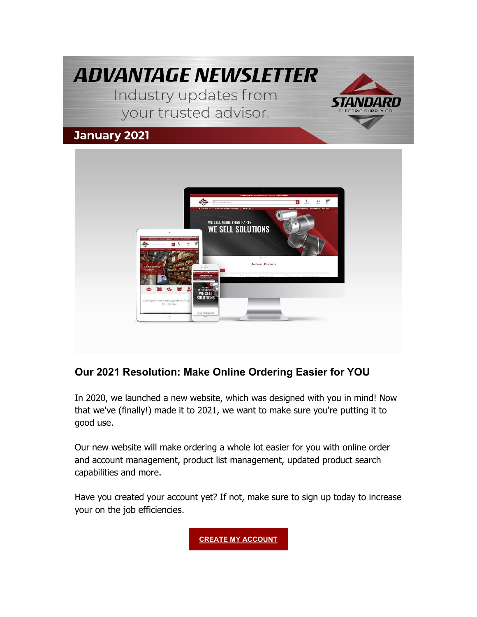



### **Our 2021 Resolution: Make Online Ordering Easier for YOU**

In 2020, we launched a new website, which was designed with you in mind! Now that we've (finally!) made it to 2021, we want to make sure you're putting it to good use.

Our new website will make ordering a whole lot easier for you with online order and account management, product list management, updated product search capabilities and more.

Have you created your account yet? If not, make sure to sign up today to increase your on the job efficiencies.

**CREATE MY ACCOUNT**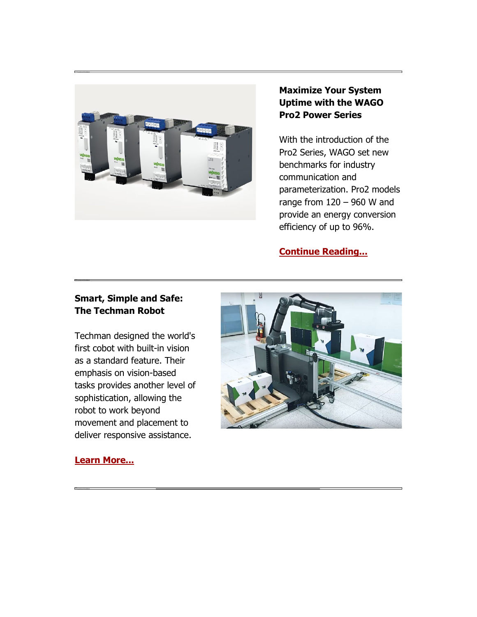

#### **Maximize Your System Uptime with the WAGO Pro2 Power Series**

With the introduction of the Pro2 Series, WAGO set new benchmarks for industry communication and parameterization. Pro2 models range from  $120 - 960$  W and provide an energy conversion efficiency of up to 96%.

**[Continue Reading...](https://nam04.safelinks.protection.outlook.com/?url=https%3A%2F%2Finfo.standardelectricsupply.com%2Fe2t%2Ftc%2FVWP3ks99tvl8W6vKsz77hx03ZW2QY3Nh4l-kLjN8GDX5G5nxGrV3Zsc37CgYXwW23PmJD3-SKPCW3CqFsj7Wv17pW2RpnGK6PG6h8N4Y5l-K-y-F-N1-3V_WnJG0kN6R7bDZ2TS4fW5vsjgq51MM6VN8pHKTp53PxvW5WqkyP8vDFvTW6dRKX43PVW0GW5sx4k-3qV3FyW8Rkj8G1kCjX0W4XSQ0q6MB-PkN6LgsMYF22c_W4-YYF_6td8H6W617V-63WQx4RW84NXZC1N7zSJW5xMP8-5YJ2jlW3K49Qh1HsQMJW8-5-t21LjZLSVw7_xc5r5K_yW3gbw5j5cK8L8W57kT5X7chZNqW1dyYkR7gzpbCW25bTdx6bwgDZW3Bvxb_5jRvX2W85ydFp5fBXWdV7cRPy2fJSMLW39M5m45TZrZvW35lP7J3ZdMcCW89k3c32blX_8W9cQtqt5G8lGPW4hHPND7GLZbrVQZrY845c0M63cg01&data=04%7C01%7Cdgebelein%40standardelectricsupply.com%7Cf003323c5ff64b0e284a08d8bbcfe823%7C4b02a9df33c0464e84121b8c3bcfec3c%7C0%7C0%7C637465848918384292%7CUnknown%7CTWFpbGZsb3d8eyJWIjoiMC4wLjAwMDAiLCJQIjoiV2luMzIiLCJBTiI6Ik1haWwiLCJXVCI6Mn0%3D%7C1000&sdata=udUI%2BUhspXJHcPC74ElKeGIGvWhGlr%2Bn4og4mFVQcBY%3D&reserved=0)**

#### **Smart, Simple and Safe: The Techman Robot**

Techman designed the world's first cobot with built-in vision as a standard feature. Their emphasis on vision-based tasks provides another level of sophistication, allowing the robot to work beyond movement and placement to deliver responsive assistance.



#### **[Learn More...](https://nam04.safelinks.protection.outlook.com/?url=https%3A%2F%2Finfo.standardelectricsupply.com%2Fe2t%2Ftc%2FVWP3ks99tvl8W6vKsz77hx03ZW2QY3Nh4l-kLjN8GDX6S3p_9rV1-WJV7CgDm2W7jYBFQ4wCTvRW5bFxN46qFhN8N6Bbg6YFgdzPW9gsPNs5bQ9zxW62pH9Y6ddghNW5ppmXG4QqLD3W1BrCYW1sV3mXN7YNfsHPPl7KW8gyPbl7FwG-0W6n4vGR6Lx-t_W57Lc1w6TJZhNW7cWSdj1-v5DPW4_Gxrn4GCtw9W3gFDny85tydFW4sq4SZ35NRTnVmtJ9r7BG7zWW8wXhTd7FCf9DW145d4t8vw-XrW5BcvPr8WR52QN8qPMPm3wzn1VfxXN65sdHlvW6rs7kD89mDkNW1Qk7547FdVGnW2_rz8V6rfG8GW31pr6k6RgMq1V9-mxy6DDl7v37Dk1&data=04%7C01%7Cdgebelein%40standardelectricsupply.com%7Cf003323c5ff64b0e284a08d8bbcfe823%7C4b02a9df33c0464e84121b8c3bcfec3c%7C0%7C0%7C637465848918384292%7CUnknown%7CTWFpbGZsb3d8eyJWIjoiMC4wLjAwMDAiLCJQIjoiV2luMzIiLCJBTiI6Ik1haWwiLCJXVCI6Mn0%3D%7C1000&sdata=27%2FrhQ7axHrfp2ZyriIHM%2BNiM75rVCsm5j7%2FRTUSWv8%3D&reserved=0)**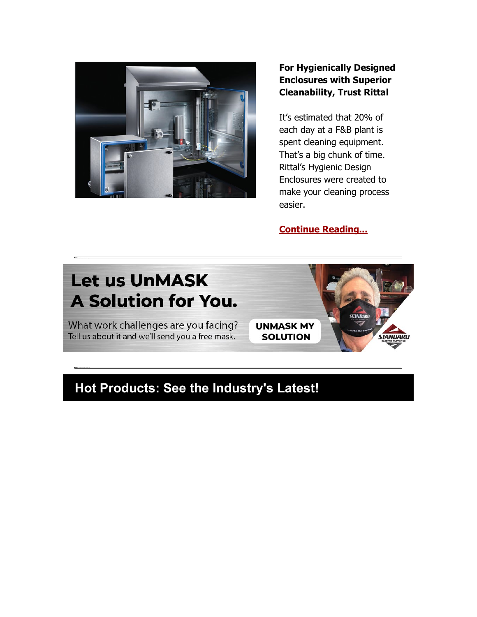

#### **For Hygienically Designed Enclosures with Superior Cleanability, Trust Rittal**

It's estimated that 20% of each day at a F&B plant is spent cleaning equipment. That's a big chunk of time. Rittal's Hygienic Design Enclosures were created to make your cleaning process easier.

**[Continue Reading...](https://nam04.safelinks.protection.outlook.com/?url=https%3A%2F%2Finfo.standardelectricsupply.com%2Fe2t%2Ftc%2FVWP3ks99tvl8W6vKsz77hx03ZW2QY3Nh4l-kLjN8GDX5Z5nxGLV3Zsc37CgVtwW1cyF1W42lpmQW4bRcrr39hjZ1W44qYNY72S1-mW1Pl4rt6XhyTkW21xMFS2NCMD5W10dycN1DFMdBW33t5cs5M1_5rW7MrtHQ245SPdVkwvwF8Wr0PhW63HJDG74Fh40W5rwDh856Zb7-W32JP7y3kr3_PW2pkQgF42hJg8W5Y7ywr5m6D_wN7JShSBjxCWxW3kJMPc3k4PPTW4kCKLC231NYSW75_hh73mfmz1W7kFNnX56MQMmW3cMWMN98R6-5W3kht0Y29SY3NW7cW-nd5vfPT0W1PPMgW1F8F61W55xn2b1HSzvkW5-FmJ98JLMDfW2qbs-M32J_dXW8D-pvn97pdlyW8wljtQ3J0_MBW6qc3NZ7mbZYxN94fK-4fNLfLW1nYjZg6BCdjCW4vVsPX90hgG1W4-Ks5D8VWbKTW3JJHPL28Pzh0W70BmfP2CxbnXN5N4X3YDCLlB3kYw1&data=04%7C01%7Cdgebelein%40standardelectricsupply.com%7Cf003323c5ff64b0e284a08d8bbcfe823%7C4b02a9df33c0464e84121b8c3bcfec3c%7C0%7C0%7C637465848918404281%7CUnknown%7CTWFpbGZsb3d8eyJWIjoiMC4wLjAwMDAiLCJQIjoiV2luMzIiLCJBTiI6Ik1haWwiLCJXVCI6Mn0%3D%7C1000&sdata=wFNpvNavcCyOriWdqFGjNetA3c0PKZCdCp0HgN%2FeP3c%3D&reserved=0)**

**STANDAR** 

**STANDARD** 

# **Let us UnMASK A Solution for You.**

What work challenges are you facing? Tell us about it and we'll send you a free mask.

**UNMASK MY SOLUTION** 

## **Hot Products: See the Industry's Latest!**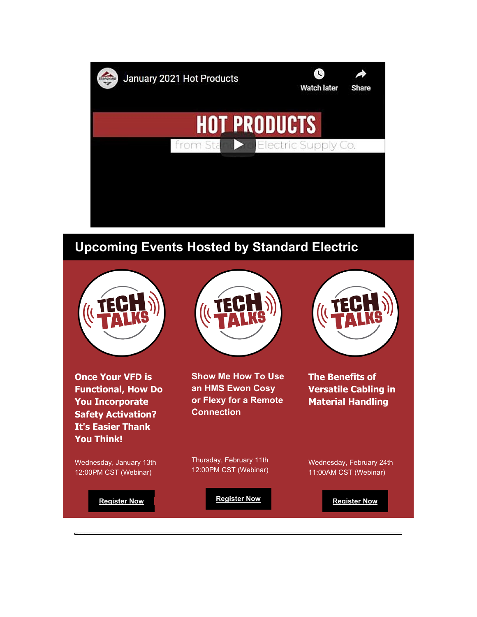

### **Upcoming Events Hosted by Standard Electric**



**Once Your VFD is Functional, How Do You Incorporate Safety Activation? It's Easier Thank You Think!**

**Show Me How To Use an HMS Ewon Cosy or Flexy for a Remote Connection**

**The Benefits of Versatile Cabling in Material Handling**

Wednesday, January 13th 12:00PM CST (Webinar)

Thursday, February 11th 12:00PM CST (Webinar)

11:00AM CST (Webinar)

**[Register Now](https://nam04.safelinks.protection.outlook.com/?url=https%3A%2F%2Finfo.standardelectricsupply.com%2Fe2t%2Ftc%2FVWP3ks99tvl8W6vKsz77hx03ZW2QY3Nh4l-kLjN8GDX773p_9LV1-WJV7CgDYJW4b2G5H5Q6KVNVtWJys6MY1gDVrFyNC6zDRQtW8GxsBy28dMkwW5H04cR88MFlkN6dvXxqRLtybV5_gY73xbgvTN4wnH_QYy0ztW5Hhh2z6tJ1bbW63JSxQ3T1P2-W2y9TPs96m_w3N70YDpYDd38yVLhVLk27WRw1W8285dC7Vk0ypW9dkHPN8ffCHFN41Wyfqv2p_6Tn9MV6Z5FBkV1qJ196Y8BCxW3Qd8vw4fD9_CN1XjdslW1sRwW1gG_hN2gXwH-W7YFtM72nXGWXW2m2Txg6fz-76W2YblzC55CVmFW4xdwqg8FL3GnV-sH4G8sV6vRW34lkyM93D9ghW6155LP2J4BdR3npF1&data=04%7C01%7Cdgebelein%40standardelectricsupply.com%7Cf003323c5ff64b0e284a08d8bbcfe823%7C4b02a9df33c0464e84121b8c3bcfec3c%7C0%7C0%7C637465848918424269%7CUnknown%7CTWFpbGZsb3d8eyJWIjoiMC4wLjAwMDAiLCJQIjoiV2luMzIiLCJBTiI6Ik1haWwiLCJXVCI6Mn0%3D%7C1000&sdata=n%2F2ZSkPrZ7MWXFFGbeTVpyIWsZwHsD%2FKV9AMqJUTPf8%3D&reserved=0)** 

**[Register Now](https://nam04.safelinks.protection.outlook.com/?url=https%3A%2F%2Finfo.standardelectricsupply.com%2Fe2t%2Ftc%2FVWP3ks99tvl8W6vKsz77hx03ZW2QY3Nh4l-kLjN8GDX773p_9LV1-WJV7CgSrSW2s3-BW10ppbXN3jnh5xVYY5tW7qcb207hjm8RW2-1MNl2BKNjgN1Zb4frZ7kRfW6tr12b2Gy4khW3jQyFf12z1ZsW7rlLW31dRqgWW7LD_gZ1J8qN-W14YQq_4Lf98CW2NNvhC9f5dHKVLDhk68MpyZCW7zpcP47T280tW4G8f7y5f5r4YW7_kpmf8xYKpMMj-wCgFcw6VW8yQLkz1JhC8dN3_8WZB1RzmbVVPpSq46L7MDVFX7Cy1MbL8xW5XW_x08_zMTJW79Sl5c1lCptXW85r6qd3jdTQHVy3bp_125CLhW3M4Kng3yk9FNW2tq7_r6TVfnxW5kwSjV14z0M3W8MYDcf98y4Nx37741&data=04%7C01%7Cdgebelein%40standardelectricsupply.com%7Cf003323c5ff64b0e284a08d8bbcfe823%7C4b02a9df33c0464e84121b8c3bcfec3c%7C0%7C0%7C637465848918424269%7CUnknown%7CTWFpbGZsb3d8eyJWIjoiMC4wLjAwMDAiLCJQIjoiV2luMzIiLCJBTiI6Ik1haWwiLCJXVCI6Mn0%3D%7C1000&sdata=7O1Y3sAxJmN905YPQDXUHUt%2FpIIvj662YwJUpFRN5ZU%3D&reserved=0)** 

**[Register Now](https://nam04.safelinks.protection.outlook.com/?url=https%3A%2F%2Finfo.standardelectricsupply.com%2Fe2t%2Ftc%2FVWP3ks99tvl8W6vKsz77hx03ZW2QY3Nh4l-kLjN8GDX5m5nxG7V3Zsc37CgJ3PVKS-Nq1TVMY6N5TKmrc_zNnqW3n5tKf4blB8tW2WNdKV8v94mQW7FjBgH3ljSY7W9kgVWv1QNQztW1Brz7t1lJRsbW2VZnY-8CjdxjN1DKPz-V3W6PN5Dwzwf5xx5SW1_lZh363yhdBW86KB2G4v9VYlN3_-4Xr-cwbVW89W89R1GNGRrW8BYs721K4jkgVrMFQK7clz14Vh62cc20sJMTW5hPyH783P_9MW7MfnFl90yn1RW3wS1N48-2hwJW5_0T9_3ZJ98yW78HMfV6hSnPBW2fSbn81MJ-SvW4HLRnH4gWGKbW3J5Pbc8j6GW_W98Gq-8979N6wVPm_Qy2DZnxlW2hnLly13dLkPW9fl6cb49S3lSW8rt4v48c96gsW3V-qNw7nGh6yW6BxdY07rYxJr3gGF1&data=04%7C01%7Cdgebelein%40standardelectricsupply.com%7Cf003323c5ff64b0e284a08d8bbcfe823%7C4b02a9df33c0464e84121b8c3bcfec3c%7C0%7C0%7C637465848918434265%7CUnknown%7CTWFpbGZsb3d8eyJWIjoiMC4wLjAwMDAiLCJQIjoiV2luMzIiLCJBTiI6Ik1haWwiLCJXVCI6Mn0%3D%7C1000&sdata=SyhFYGRmJ0z3DkC9U47InzgkNlKI7x15fukYLqJoNqU%3D&reserved=0)** 

Wednesday, February 24th